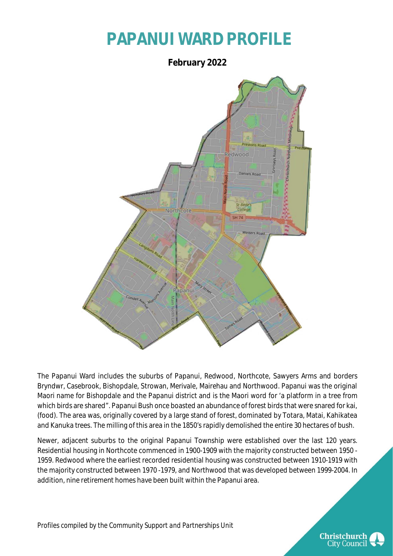### **PAPANUI WARD PROFILE**



The Papanui Ward includes the suburbs of Papanui, Redwood, Northcote, Sawyers Arms and borders Bryndwr, Casebrook, Bishopdale, Strowan, Merivale, Mairehau and Northwood. Papanui was the original Maori name for Bishopdale and the Papanui district and is the Maori word for 'a platform in a tree from which birds are shared". Papanui Bush once boasted an abundance of forest birds that were snared for kai, (food). The area was, originally covered by a large stand of forest, dominated by Totara, Matai, Kahikatea and Kanuka trees. The milling of this area in the 1850's rapidly demolished the entire 30 hectares of bush.

Newer, adjacent suburbs to the original Papanui Township were established over the last 120 years. Residential housing in Northcote commenced in 1900-1909 with the majority constructed between 1950 - 1959. Redwood where the earliest recorded residential housing was constructed between 1910-1919 with the majority constructed between 1970 -1979, and Northwood that was developed between 1999-2004. In addition, nine retirement homes have been built within the Papanui area.

*Profiles compiled by the Community Support and Partnerships Unit*

**Christchurch City Council**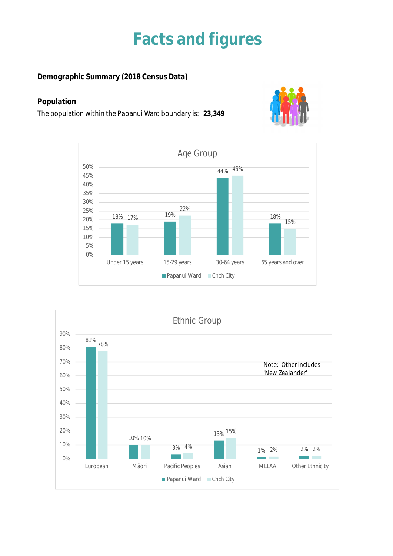### **Facts and figures**

**Demographic Summary (2018 Census Data)**

#### **Population**

The population within the Papanui Ward boundary is: **23,349**





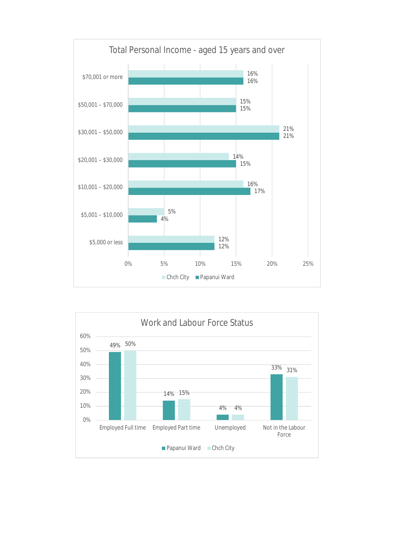

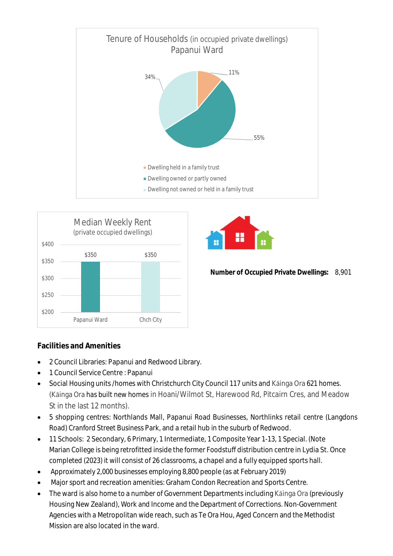





- 2 Council Libraries: Papanui and Redwood Library.
- 1 Council Service Centre : Papanui
- Social Housing units /homes with Christchurch City Council 117 units and Kāinga Ora 621 homes. (Kāinga Ora has built new homes in Hoani/Wilmot St, Harewood Rd, Pitcairn Cres, and Meadow St in the last 12 months).
- 5 shopping centres: Northlands Mall, Papanui Road Businesses, Northlinks retail centre (Langdons Road) Cranford Street Business Park, and a retail hub in the suburb of Redwood.
- 11 Schools: 2 Secondary, 6 Primary, 1 Intermediate, 1 Composite Year 1-13, 1 Special. (Note Marian College is being retrofitted inside the former Foodstuff distribution centre in Lydia St. Once completed (2023) it will consist of 26 classrooms, a chapel and a fully equipped sports hall.
- Approximately 2,000 businesses employing 8,800 people (as at February 2019)
- Major sport and recreation amenities: Graham Condon Recreation and Sports Centre.
- The ward is also home to a number of Government Departments including Kāinga Ora (previously Housing New Zealand), Work and Income and the Department of Corrections. Non-Government Agencies with a Metropolitan wide reach, such as Te Ora Hou, Aged Concern and the Methodist Mission are also located in the ward.



**Number of Occupied Private Dwellings:** 8,901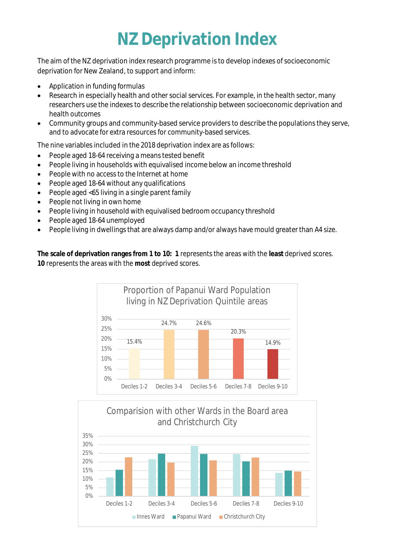# **NZ Deprivation Index**

The aim of the NZ deprivation index research programme is to develop indexes of socioeconomic deprivation for New Zealand, to support and inform:

- Application in funding formulas
- Research in especially health and other social services. For example, in the health sector, many researchers use the indexes to describe the relationship between socioeconomic deprivation and health outcomes
- Community groups and community-based service providers to describe the populations they serve, and to advocate for extra resources for community-based services.

The nine variables included in the 2018 deprivation index are as follows:

- People aged 18-64 receiving a means tested benefit
- People living in households with equivalised income below an income threshold
- People with no access to the Internet at home
- People aged 18-64 without any qualifications
- People aged <65 living in a single parent family
- People not living in own home
- People living in household with equivalised bedroom occupancy threshold
- People aged 18-64 unemployed
- People living in dwellings that are always damp and/or always have mould greater than A4 size.

**The scale of deprivation ranges from 1 to 10: 1** represents the areas with the **least** deprived scores. **10** represents the areas with the **most** deprived scores.



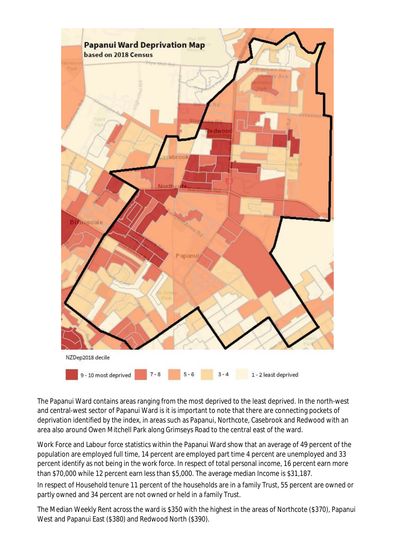

The Papanui Ward contains areas ranging from the most deprived to the least deprived. In the north-west and central-west sector of Papanui Ward is it is important to note that there are connecting pockets of deprivation identified by the index, in areas such as Papanui, Northcote, Casebrook and Redwood with an area also around Owen Mitchell Park along Grimseys Road to the central east of the ward.

 Work Force and Labour force statistics within the Papanui Ward show that an average of 49 percent of the population are employed full time, 14 percent are employed part time 4 percent are unemployed and 33 percent identify as not being in the work force. In respect of total personal income, 16 percent earn more than \$70,000 while 12 percent earn less than \$5,000. The average median Income is \$31,187.

In respect of Household tenure 11 percent of the households are in a family Trust, 55 percent are owned or partly owned and 34 percent are not owned or held in a family Trust.

The Median Weekly Rent across the ward is \$350 with the highest in the areas of Northcote (\$370), Papanui West and Papanui East (\$380) and Redwood North (\$390).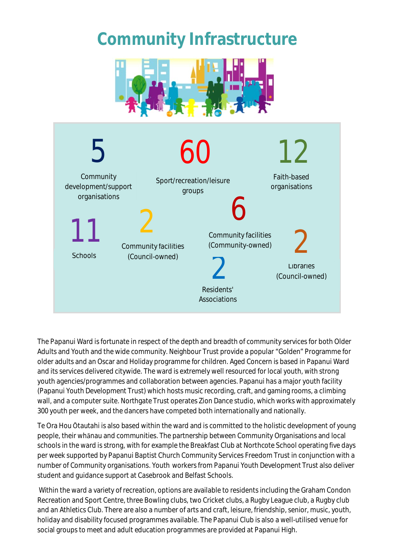### **Community Infrastructure**





The Papanui Ward is fortunate in respect of the depth and breadth of community services for both Older Adults and Youth and the wide community. Neighbour Trust provide a popular "Golden" Programme for older adults and an Oscar and Holiday programme for children. Aged Concern is based in Papanui Ward and its services delivered citywide. The ward is extremely well resourced for local youth, with strong youth agencies/programmes and collaboration between agencies. Papanui has a major youth facility (Papanui Youth Development Trust) which hosts music recording, craft, and gaming rooms, a climbing wall, and a computer suite. Northgate Trust operates Zion Dance studio, which works with approximately 300 youth per week, and the dancers have competed both internationally and nationally.

Te Ora Hou Ōtautahi is also based within the ward and is committed to the holistic development of young people, their whānau and communities. The partnership between Community Organisations and local schools in the ward is strong, with for example the Breakfast Club at Northcote School operating five days per week supported by Papanui Baptist Church Community Services Freedom Trust in conjunction with a number of Community organisations. Youth workers from Papanui Youth Development Trust also deliver student and guidance support at Casebrook and Belfast Schools.

 Within the ward a variety of recreation, options are available to residents including the Graham Condon Recreation and Sport Centre, three Bowling clubs, two Cricket clubs, a Rugby League club, a Rugby club and an Athletics Club. There are also a number of arts and craft, leisure, friendship, senior, music, youth, holiday and disability focused programmes available. The Papanui Club is also a well-utilised venue for social groups to meet and adult education programmes are provided at Papanui High.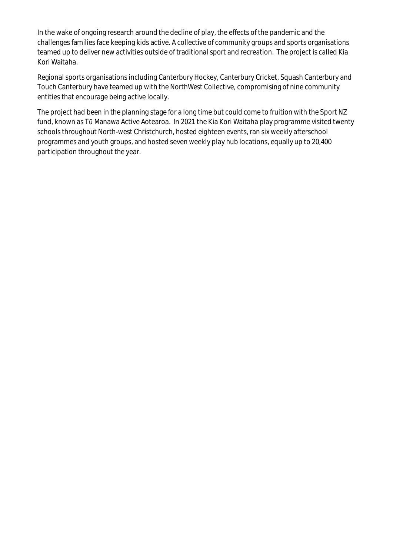In the wake of ongoing research around the decline of play, the effects of the pandemic and the challenges families face keeping kids active. A collective of community groups and sports organisations teamed up to deliver new activities outside of traditional sport and recreation. The project is called Kia Kori Waitaha.

Regional sports organisations including Canterbury Hockey, Canterbury Cricket, Squash Canterbury and Touch Canterbury have teamed up with the NorthWest Collective, compromising of nine community entities that encourage being active locally.

The project had been in the planning stage for a long time but could come to fruition with the Sport NZ fund, known as Tū Manawa Active Aotearoa. In 2021 the Kia Kori Waitaha play programme visited twenty schools throughout North-west Christchurch, hosted eighteen events, ran six weekly afterschool programmes and youth groups, and hosted seven weekly play hub locations, equally up to 20,400 participation throughout the year.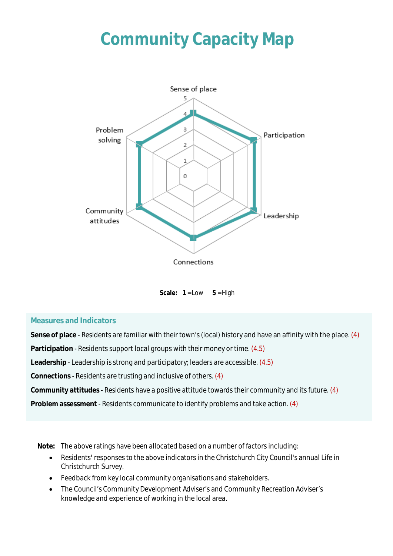# **Community Capacity Map**



Scale:  $1 = Low \t 5 = High$ 

#### **Measures and Indicators**

**Sense of place** - Residents are familiar with their town's (local) history and have an affinity with the place. (4) **Participation** - Residents support local groups with their money or time. (4.5) **Leadership** - Leadership is strong and participatory; leaders are accessible. (4.5) **Connections** - Residents are trusting and inclusive of others. (4) **Community attitudes** - Residents have a positive attitude towards their community and its future. (4) **Problem assessment** - Residents communicate to identify problems and take action. (4)

**Note:** The above ratings have been allocated based on a number of factors including:

- Residents' responses to the above indicators in the Christchurch City Council's annual Life in Christchurch Survey.
- Feedback from key local community organisations and stakeholders.
- The Council's Community Development Adviser's and Community Recreation Adviser's knowledge and experience of working in the local area.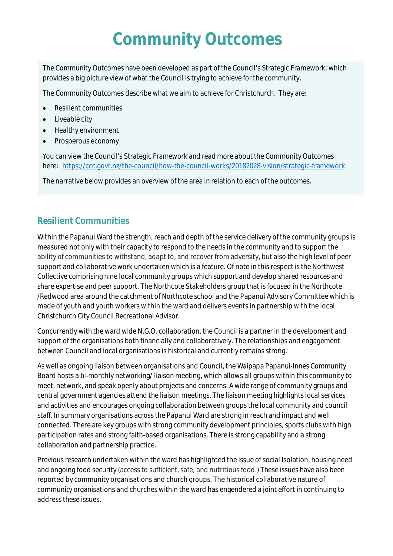### **Community Outcomes**

The Community Outcomes have been developed as part of the Council's Strategic Framework, which provides a big picture view of what the Council is trying to achieve for the community.

The Community Outcomes describe what we aim to achieve for Christchurch. They are:

- Resilient communities
- Liveable city
- Healthy environment
- Prosperous economy

You can view the Council's Strategic Framework and read more about the Community Outcomes here: <https://ccc.govt.nz/the-council/how-the-council-works/20182028-vision/strategic-framework>

The narrative below provides an overview of the area in relation to each of the outcomes.

#### **Resilient Communities**

Within the Papanui Ward the strength, reach and depth of the service delivery of the community groups is measured not only with their capacity to respond to the needs in the community and to support the ability of communities to withstand, adapt to, and recover from adversity, but also the high level of peer support and collaborative work undertaken which is a feature. Of note in this respect is the Northwest Collective comprising nine local community groups which support and develop shared resources and share expertise and peer support. The Northcote Stakeholders group that is focused in the Northcote /Redwood area around the catchment of Northcote school and the Papanui Advisory Committee which is made of youth and youth workers within the ward and delivers events in partnership with the local Christchurch City Council Recreational Advisor.

Concurrently with the ward wide N.G.O. collaboration, the Council is a partner in the development and support of the organisations both financially and collaboratively. The relationships and engagement between Council and local organisations is historical and currently remains strong.

As well as ongoing liaison between organisations and Council, the Waipapa Papanui-Innes Community Board hosts a bi-monthly networking/ liaison meeting, which allows all groups within this community to meet, network, and speak openly about projects and concerns. A wide range of community groups and central government agencies attend the liaison meetings. The liaison meeting highlights local services and activities and encourages ongoing collaboration between groups the local community and council staff. In summary organisations across the Papanui Ward are strong in reach and impact and well connected. There are key groups with strong community development principles, sports clubs with high participation rates and strong faith-based organisations. There is strong capability and a strong collaboration and partnership practice.

Previous research undertaken within the ward has highlighted the issue of social Isolation, housing need and ongoing food security (access to sufficient, safe, and nutritious food.) These issues have also been reported by community organisations and church groups. The historical collaborative nature of community organisations and churches within the ward has engendered a joint effort in continuing to address these issues.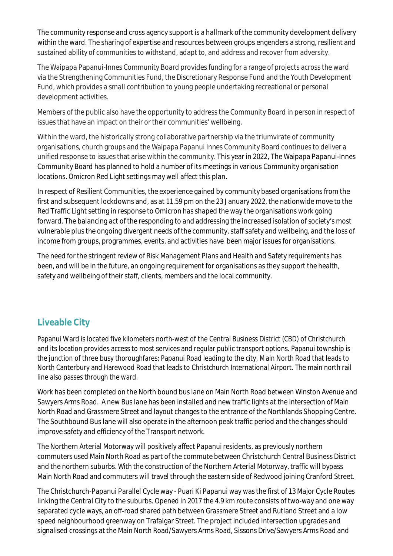The community response and cross agency support is a hallmark of the community development delivery within the ward. The sharing of expertise and resources between groups engenders a strong, resilient and sustained ability of communities to withstand, adapt to, and address and recover from adversity.

The Waipapa Papanui-Innes Community Board provides funding for a range of projects across the ward via the Strengthening Communities Fund, the Discretionary Response Fund and the Youth Development Fund, which provides a small contribution to young people undertaking recreational or personal development activities.

Members of the public also have the opportunity to address the Community Board in person in respect of issues that have an impact on their or their communities' wellbeing.

Within the ward, the historically strong collaborative partnership via the triumvirate of community organisations, church groups and the Waipapa Papanui Innes Community Board continues to deliver a unified response to issues that arise within the community. This year in 2022, The Waipapa Papanui-Innes Community Board has planned to hold a number of its meetings in various Community organisation locations. Omicron Red Light settings may well affect this plan.

In respect of Resilient Communities, the experience gained by community based organisations from the first and subsequent lockdowns and, as at 11.59 pm on the 23 January 2022, the nationwide move to the Red Traffic Light setting in response to Omicron has shaped the way the organisations work going forward. The balancing act of the responding to and addressing the increased isolation of society's most vulnerable plus the ongoing divergent needs of the community, staff safety and wellbeing, and the loss of income from groups, programmes, events, and activities have been major issues for organisations.

The need for the stringent review of Risk Management Plans and Health and Safety requirements has been, and will be in the future, an ongoing requirement for organisations as they support the health, safety and wellbeing of their staff, clients, members and the local community.

#### **Liveable City**

Papanui Ward is located five kilometers north-west of the Central Business District (CBD) of Christchurch and its location provides access to most services and regular public transport options. Papanui township is the junction of three busy thoroughfares; Papanui Road leading to the city, Main North Road that leads to North Canterbury and Harewood Road that leads to Christchurch International Airport. The main north rail line also passes through the ward.

Work has been completed on the North bound bus lane on Main North Road between Winston Avenue and Sawyers Arms Road. A new Bus lane has been installed and new traffic lights at the intersection of Main North Road and Grassmere Street and layout changes to the entrance of the Northlands Shopping Centre. The Southbound Bus lane will also operate in the afternoon peak traffic period and the changes should improve safety and efficiency of the Transport network.

The Northern Arterial Motorway will positively affect Papanui residents, as previously northern commuters used Main North Road as part of the commute between Christchurch Central Business District and the northern suburbs. With the construction of the Northern Arterial Motorway, traffic will bypass Main North Road and commuters will travel through the eastern side of Redwood joining Cranford Street.

The Christchurch-Papanui Parallel Cycle way - Puari Ki Papanui way was the first of 13 Major Cycle Routes linking the Central City to the suburbs. Opened in 2017 the 4.9 km route consists of two-way and one way separated cycle ways, an off-road shared path between Grassmere Street and Rutland Street and a low speed neighbourhood greenway on Trafalgar Street. The project included intersection upgrades and signalised crossings at the Main North Road/Sawyers Arms Road, Sissons Drive/Sawyers Arms Road and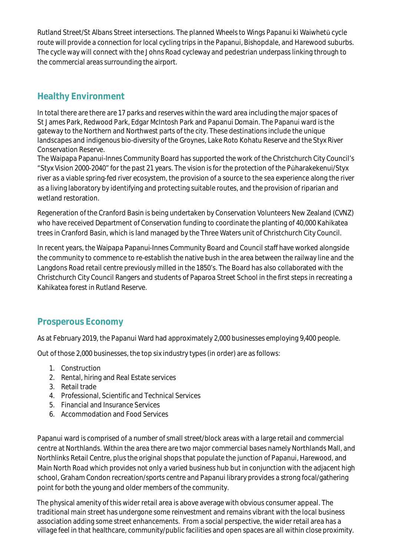Rutland Street/St Albans Street intersections. The planned Wheels to Wings Papanui ki Waiwhetū cycle route will provide a connection for local cycling trips in the Papanui, Bishopdale, and Harewood suburbs. The cycle way will connect with the Johns Road cycleway and pedestrian underpass linking through to the commercial areas surrounding the airport.

#### **Healthy Environment**

In total there are there are 17 parks and reserves within the ward area including the major spaces of St James Park, Redwood Park, Edgar McIntosh Park and Papanui Domain. The Papanui ward is the gateway to the Northern and Northwest parts of the city. These destinations include the unique landscapes and indigenous bio-diversity of the Groynes, Lake Roto Kohatu Reserve and the Styx River Conservation Reserve.

The Waipapa Papanui-Innes Community Board has supported the work of the Christchurch City Council's "Styx Vision 2000-2040" for the past 21 years. The vision is for the protection of the Pūharakekenui/Styx river as a viable spring-fed river ecosystem, the provision of a source to the sea experience along the river as a living laboratory by identifying and protecting suitable routes, and the provision of riparian and wetland restoration.

Regeneration of the Cranford Basin is being undertaken by Conservation Volunteers New Zealand (CVNZ) who have received Department of Conservation funding to coordinate the planting of 40,000 Kahikatea trees in Cranford Basin, which is land managed by the Three Waters unit of Christchurch City Council.

In recent years, the Waipapa Papanui-Innes Community Board and Council staff have worked alongside the community to commence to re-establish the native bush in the area between the railway line and the Langdons Road retail centre previously milled in the 1850's. The Board has also collaborated with the Christchurch City Council Rangers and students of Paparoa Street School in the first steps in recreating a Kahikatea forest in Rutland Reserve.

#### **Prosperous Economy**

As at February 2019, the Papanui Ward had approximately 2,000 businesses employing 9,400 people.

Out of those 2,000 businesses, the top six industry types (in order) are as follows:

- 1. Construction
- 2. Rental, hiring and Real Estate services
- 3. Retail trade
- 4. Professional, Scientific and Technical Services
- 5. Financial and Insurance Services
- 6. Accommodation and Food Services

Papanui ward is comprised of a number of small street/block areas with a large retail and commercial centre at Northlands. Within the area there are two major commercial bases namely Northlands Mall, and Northlinks Retail Centre, plus the original shops that populate the junction of Papanui, Harewood, and Main North Road which provides not only a varied business hub but in conjunction with the adjacent high school, Graham Condon recreation/sports centre and Papanui library provides a strong focal/gathering point for both the young and older members of the community.

The physical amenity of this wider retail area is above average with obvious consumer appeal. The traditional main street has undergone some reinvestment and remains vibrant with the local business association adding some street enhancements. From a social perspective, the wider retail area has a village feel in that healthcare, community/public facilities and open spaces are all within close proximity.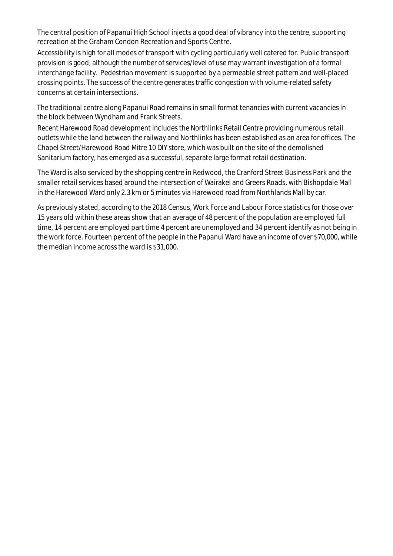The central position of Papanui High School injects a good deal of vibrancy into the centre, supporting recreation at the Graham Condon Recreation and Sports Centre.

Accessibility is high for all modes of transport with cycling particularly well catered for. Public transport provision is good, although the number of services/level of use may warrant investigation of a formal interchange facility. Pedestrian movement is supported by a permeable street pattern and well-placed crossing points. The success of the centre generates traffic congestion with volume-related safety concerns at certain intersections.

The traditional centre along Papanui Road remains in small format tenancies with current vacancies in the block between Wyndham and Frank Streets.

Recent Harewood Road development includes the Northlinks Retail Centre providing numerous retail outlets while the land between the railway and Northlinks has been established as an area for offices. The Chapel Street/Harewood Road Mitre 10 DIY store, which was built on the site of the demolished Sanitarium factory, has emerged as a successful, separate large format retail destination.

The Ward is also serviced by the shopping centre in Redwood, the Cranford Street Business Park and the smaller retail services based around the intersection of Wairakei and Greers Roads, with Bishopdale Mall in the Harewood Ward only 2.3 km or 5 minutes via Harewood road from Northlands Mall by car.

As previously stated, according to the 2018 Census, Work Force and Labour Force statistics for those over 15 years old within these areas show that an average of 48 percent of the population are employed full time, 14 percent are employed part time 4 percent are unemployed and 34 percent identify as not being in the work force. Fourteen percent of the people in the Papanui Ward have an income of over \$70,000, while the median income across the ward is \$31,000.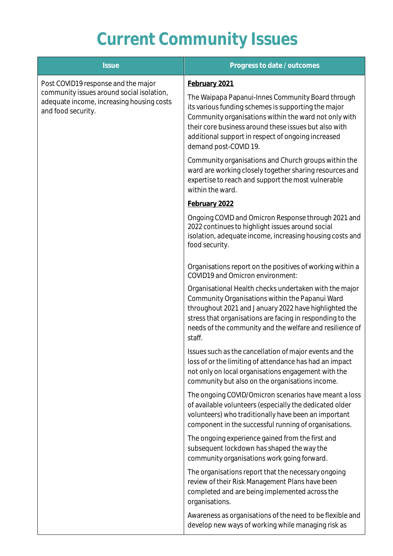# **Current Community Issues**

| <b>Issue</b>                                                                                                                                        | Progress to date / outcomes                                                                                                                                                                                                                                                                               |
|-----------------------------------------------------------------------------------------------------------------------------------------------------|-----------------------------------------------------------------------------------------------------------------------------------------------------------------------------------------------------------------------------------------------------------------------------------------------------------|
| Post COVID19 response and the major<br>community issues around social isolation,<br>adequate income, increasing housing costs<br>and food security. | February 2021                                                                                                                                                                                                                                                                                             |
|                                                                                                                                                     | The Waipapa Papanui-Innes Community Board through<br>its various funding schemes is supporting the major<br>Community organisations within the ward not only with<br>their core business around these issues but also with<br>additional support in respect of ongoing increased<br>demand post-COVID 19. |
|                                                                                                                                                     | Community organisations and Church groups within the<br>ward are working closely together sharing resources and<br>expertise to reach and support the most vulnerable<br>within the ward.                                                                                                                 |
|                                                                                                                                                     | February 2022                                                                                                                                                                                                                                                                                             |
|                                                                                                                                                     | Ongoing COVID and Omicron Response through 2021 and<br>2022 continues to highlight issues around social<br>isolation, adequate income, increasing housing costs and<br>food security.                                                                                                                     |
|                                                                                                                                                     | Organisations report on the positives of working within a<br>COVID19 and Omicron environment:                                                                                                                                                                                                             |
|                                                                                                                                                     | Organisational Health checks undertaken with the major<br>Community Organisations within the Papanui Ward<br>throughout 2021 and January 2022 have highlighted the<br>stress that organisations are facing in responding to the<br>needs of the community and the welfare and resilience of<br>staff.     |
|                                                                                                                                                     | Issues such as the cancellation of major events and the<br>loss of or the limiting of attendance has had an impact<br>not only on local organisations engagement with the<br>community but also on the organisations income.                                                                              |
|                                                                                                                                                     | The ongoing COVID/Omicron scenarios have meant a loss<br>of available volunteers (especially the dedicated older<br>volunteers) who traditionally have been an important<br>component in the successful running of organisations.                                                                         |
|                                                                                                                                                     | The ongoing experience gained from the first and<br>subsequent lockdown has shaped the way the<br>community organisations work going forward.                                                                                                                                                             |
|                                                                                                                                                     | The organisations report that the necessary ongoing<br>review of their Risk Management Plans have been<br>completed and are being implemented across the<br>organisations.                                                                                                                                |
|                                                                                                                                                     | Awareness as organisations of the need to be flexible and<br>develop new ways of working while managing risk as                                                                                                                                                                                           |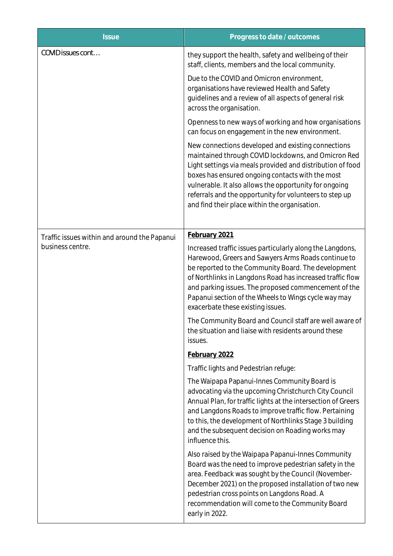| <b>Issue</b>                                                     | Progress to date / outcomes                                                                                                                                                                                                                                                                                                                                                                       |
|------------------------------------------------------------------|---------------------------------------------------------------------------------------------------------------------------------------------------------------------------------------------------------------------------------------------------------------------------------------------------------------------------------------------------------------------------------------------------|
| COVID issues cont                                                | they support the health, safety and wellbeing of their<br>staff, clients, members and the local community.                                                                                                                                                                                                                                                                                        |
|                                                                  | Due to the COVID and Omicron environment,<br>organisations have reviewed Health and Safety<br>guidelines and a review of all aspects of general risk<br>across the organisation.                                                                                                                                                                                                                  |
|                                                                  | Openness to new ways of working and how organisations<br>can focus on engagement in the new environment.                                                                                                                                                                                                                                                                                          |
|                                                                  | New connections developed and existing connections<br>maintained through COVID lockdowns, and Omicron Red<br>Light settings via meals provided and distribution of food<br>boxes has ensured ongoing contacts with the most<br>vulnerable. It also allows the opportunity for ongoing<br>referrals and the opportunity for volunteers to step up<br>and find their place within the organisation. |
| Traffic issues within and around the Papanui<br>business centre. | February 2021                                                                                                                                                                                                                                                                                                                                                                                     |
|                                                                  | Increased traffic issues particularly along the Langdons,<br>Harewood, Greers and Sawyers Arms Roads continue to<br>be reported to the Community Board. The development<br>of Northlinks in Langdons Road has increased traffic flow<br>and parking issues. The proposed commencement of the<br>Papanui section of the Wheels to Wings cycle way may<br>exacerbate these existing issues.         |
|                                                                  | The Community Board and Council staff are well aware of<br>the situation and liaise with residents around these<br>issues.                                                                                                                                                                                                                                                                        |
|                                                                  | February 2022                                                                                                                                                                                                                                                                                                                                                                                     |
|                                                                  | Traffic lights and Pedestrian refuge:                                                                                                                                                                                                                                                                                                                                                             |
|                                                                  | The Waipapa Papanui-Innes Community Board is<br>advocating via the upcoming Christchurch City Council<br>Annual Plan, for traffic lights at the intersection of Greers<br>and Langdons Roads to improve traffic flow. Pertaining<br>to this, the development of Northlinks Stage 3 building<br>and the subsequent decision on Roading works may<br>influence this.                                |
|                                                                  | Also raised by the Waipapa Papanui-Innes Community<br>Board was the need to improve pedestrian safety in the<br>area. Feedback was sought by the Council (November-<br>December 2021) on the proposed installation of two new<br>pedestrian cross points on Langdons Road. A<br>recommendation will come to the Community Board<br>early in 2022.                                                 |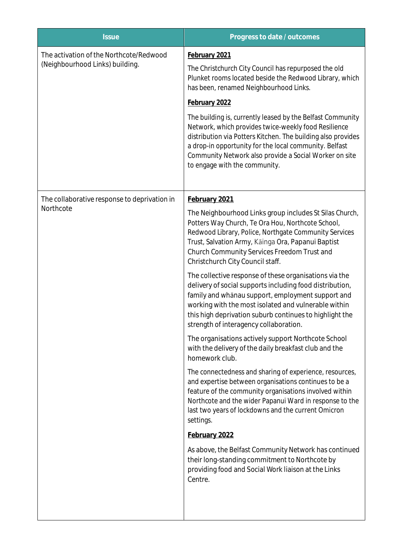| <b>Issue</b>                                                               | Progress to date / outcomes                                                                                                                                                                                                                                                                                                             |
|----------------------------------------------------------------------------|-----------------------------------------------------------------------------------------------------------------------------------------------------------------------------------------------------------------------------------------------------------------------------------------------------------------------------------------|
| The activation of the Northcote/Redwood<br>(Neighbourhood Links) building. | February 2021                                                                                                                                                                                                                                                                                                                           |
|                                                                            | The Christchurch City Council has repurposed the old<br>Plunket rooms located beside the Redwood Library, which<br>has been, renamed Neighbourhood Links.                                                                                                                                                                               |
|                                                                            | February 2022                                                                                                                                                                                                                                                                                                                           |
|                                                                            | The building is, currently leased by the Belfast Community<br>Network, which provides twice-weekly food Resilience<br>distribution via Potters Kitchen. The building also provides<br>a drop-in opportunity for the local community. Belfast<br>Community Network also provide a Social Worker on site<br>to engage with the community. |
| The collaborative response to deprivation in<br>Northcote                  | February 2021                                                                                                                                                                                                                                                                                                                           |
|                                                                            | The Neighbourhood Links group includes St Silas Church,<br>Potters Way Church, Te Ora Hou, Northcote School,<br>Redwood Library, Police, Northgate Community Services<br>Trust, Salvation Army, Kāinga Ora, Papanui Baptist<br>Church Community Services Freedom Trust and<br>Christchurch City Council staff.                          |
|                                                                            | The collective response of these organisations via the<br>delivery of social supports including food distribution,<br>family and whanau support, employment support and<br>working with the most isolated and vulnerable within<br>this high deprivation suburb continues to highlight the<br>strength of interagency collaboration.    |
|                                                                            | The organisations actively support Northcote School<br>with the delivery of the daily breakfast club and the<br>homework club.                                                                                                                                                                                                          |
|                                                                            | The connectedness and sharing of experience, resources,<br>and expertise between organisations continues to be a<br>feature of the community organisations involved within<br>Northcote and the wider Papanui Ward in response to the<br>last two years of lockdowns and the current Omicron<br>settings.                               |
|                                                                            | February 2022                                                                                                                                                                                                                                                                                                                           |
|                                                                            | As above, the Belfast Community Network has continued<br>their long-standing commitment to Northcote by<br>providing food and Social Work liaison at the Links<br>Centre.                                                                                                                                                               |
|                                                                            |                                                                                                                                                                                                                                                                                                                                         |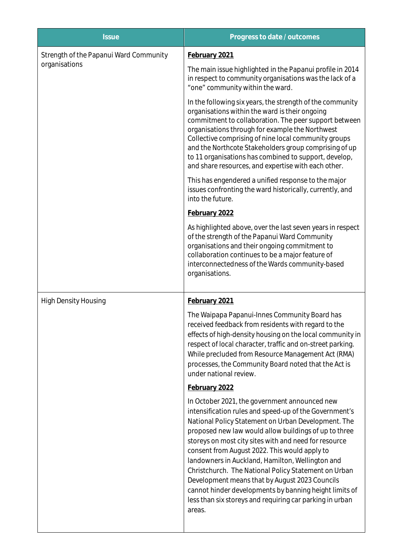| <b>Issue</b>                                            | Progress to date / outcomes                                                                                                                                                                                                                                                                                                                                                                                                                                                                                                                                                                                                     |
|---------------------------------------------------------|---------------------------------------------------------------------------------------------------------------------------------------------------------------------------------------------------------------------------------------------------------------------------------------------------------------------------------------------------------------------------------------------------------------------------------------------------------------------------------------------------------------------------------------------------------------------------------------------------------------------------------|
| Strength of the Papanui Ward Community<br>organisations | February 2021                                                                                                                                                                                                                                                                                                                                                                                                                                                                                                                                                                                                                   |
|                                                         | The main issue highlighted in the Papanui profile in 2014<br>in respect to community organisations was the lack of a<br>"one" community within the ward.                                                                                                                                                                                                                                                                                                                                                                                                                                                                        |
|                                                         | In the following six years, the strength of the community<br>organisations within the ward is their ongoing<br>commitment to collaboration. The peer support between<br>organisations through for example the Northwest<br>Collective comprising of nine local community groups<br>and the Northcote Stakeholders group comprising of up<br>to 11 organisations has combined to support, develop,<br>and share resources, and expertise with each other.                                                                                                                                                                        |
|                                                         | This has engendered a unified response to the major<br>issues confronting the ward historically, currently, and<br>into the future.                                                                                                                                                                                                                                                                                                                                                                                                                                                                                             |
|                                                         | February 2022                                                                                                                                                                                                                                                                                                                                                                                                                                                                                                                                                                                                                   |
|                                                         | As highlighted above, over the last seven years in respect<br>of the strength of the Papanui Ward Community<br>organisations and their ongoing commitment to<br>collaboration continues to be a major feature of<br>interconnectedness of the Wards community-based<br>organisations.                                                                                                                                                                                                                                                                                                                                           |
| <b>High Density Housing</b>                             | February 2021                                                                                                                                                                                                                                                                                                                                                                                                                                                                                                                                                                                                                   |
|                                                         | The Waipapa Papanui-Innes Community Board has<br>received feedback from residents with regard to the<br>effects of high-density housing on the local community in<br>respect of local character, traffic and on-street parking.<br>While precluded from Resource Management Act (RMA)<br>processes, the Community Board noted that the Act is<br>under national review.                                                                                                                                                                                                                                                         |
|                                                         | February 2022                                                                                                                                                                                                                                                                                                                                                                                                                                                                                                                                                                                                                   |
|                                                         | In October 2021, the government announced new<br>intensification rules and speed-up of the Government's<br>National Policy Statement on Urban Development. The<br>proposed new law would allow buildings of up to three<br>storeys on most city sites with and need for resource<br>consent from August 2022. This would apply to<br>landowners in Auckland, Hamilton, Wellington and<br>Christchurch. The National Policy Statement on Urban<br>Development means that by August 2023 Councils<br>cannot hinder developments by banning height limits of<br>less than six storeys and requiring car parking in urban<br>areas. |